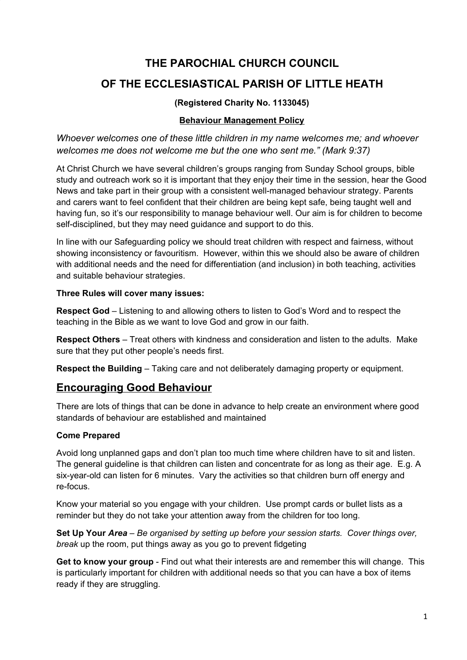# **THE PAROCHIAL CHURCH COUNCIL**

# **OF THE ECCLESIASTICAL PARISH OF LITTLE HEATH**

# **(Registered Charity No. 1133045)**

### **Behaviour Management Policy**

*Whoever welcomes one of these little children in my name welcomes me; and whoever welcomes me does not welcome me but the one who sent me." (Mark 9:37)*

At Christ Church we have several children's groups ranging from Sunday School groups, bible study and outreach work so it is important that they enjoy their time in the session, hear the Good News and take part in their group with a consistent well-managed behaviour strategy. Parents and carers want to feel confident that their children are being kept safe, being taught well and having fun, so it's our responsibility to manage behaviour well. Our aim is for children to become self-disciplined, but they may need guidance and support to do this.

In line with our Safeguarding policy we should treat children with respect and fairness, without showing inconsistency or favouritism. However, within this we should also be aware of children with additional needs and the need for differentiation (and inclusion) in both teaching, activities and suitable behaviour strategies.

#### **Three Rules will cover many issues:**

**Respect God** – Listening to and allowing others to listen to God's Word and to respect the teaching in the Bible as we want to love God and grow in our faith.

**Respect Others** – Treat others with kindness and consideration and listen to the adults. Make sure that they put other people's needs first.

**Respect the Building** – Taking care and not deliberately damaging property or equipment.

# **Encouraging Good Behaviour**

There are lots of things that can be done in advance to help create an environment where good standards of behaviour are established and maintained

# **Come Prepared**

Avoid long unplanned gaps and don't plan too much time where children have to sit and listen. The general guideline is that children can listen and concentrate for as long as their age. E.g. A six-year-old can listen for 6 minutes. Vary the activities so that children burn off energy and re-focus.

Know your material so you engage with your children. Use prompt cards or bullet lists as a reminder but they do not take your attention away from the children for too long.

**Set Up Your** *Area – Be organised by setting up before your session starts. Cover things over, break* up the room, put things away as you go to prevent fidgeting

**Get to know your group** - Find out what their interests are and remember this will change. This is particularly important for children with additional needs so that you can have a box of items ready if they are struggling.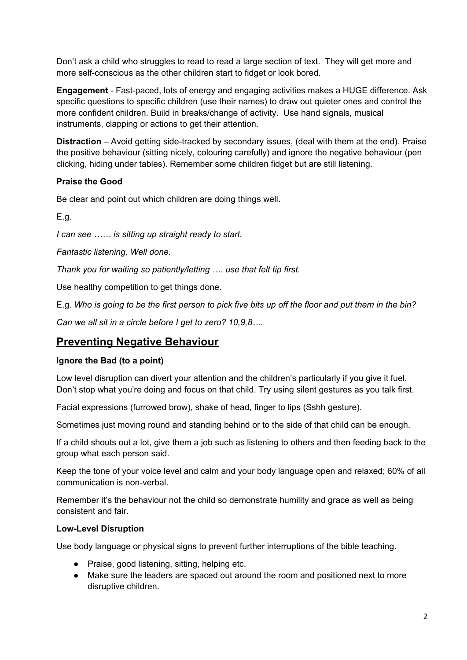Don't ask a child who struggles to read to read a large section of text. They will get more and more self-conscious as the other children start to fidget or look bored.

**Engagement** - Fast-paced, lots of energy and engaging activities makes a HUGE difference. Ask specific questions to specific children (use their names) to draw out quieter ones and control the more confident children. Build in breaks/change of activity. Use hand signals, musical instruments, clapping or actions to get their attention.

**Distraction** – Avoid getting side-tracked by secondary issues, (deal with them at the end). Praise the positive behaviour (sitting nicely, colouring carefully) and ignore the negative behaviour (pen clicking, hiding under tables). Remember some children fidget but are still listening.

# **Praise the Good**

Be clear and point out which children are doing things well.

E.g.

*I can see …… is sitting up straight ready to start.*

*Fantastic listening, Well done.*

*Thank you for waiting so patiently/letting …. use that felt tip first.*

Use healthy competition to get things done.

E.g. Who is going to be the first person to pick five bits up off the floor and put them in the bin?

*Can we all sit in a circle before I get to zero? 10,9,8….*

# **Preventing Negative Behaviour**

# **Ignore the Bad (to a point)**

Low level disruption can divert your attention and the children's particularly if you give it fuel. Don't stop what you're doing and focus on that child. Try using silent gestures as you talk first.

Facial expressions (furrowed brow), shake of head, finger to lips (Sshh gesture).

Sometimes just moving round and standing behind or to the side of that child can be enough.

If a child shouts out a lot, give them a job such as listening to others and then feeding back to the group what each person said.

Keep the tone of your voice level and calm and your body language open and relaxed; 60% of all communication is non-verbal.

Remember it's the behaviour not the child so demonstrate humility and grace as well as being consistent and fair.

# **Low-Level Disruption**

Use body language or physical signs to prevent further interruptions of the bible teaching.

- Praise, good listening, sitting, helping etc.
- Make sure the leaders are spaced out around the room and positioned next to more disruptive children.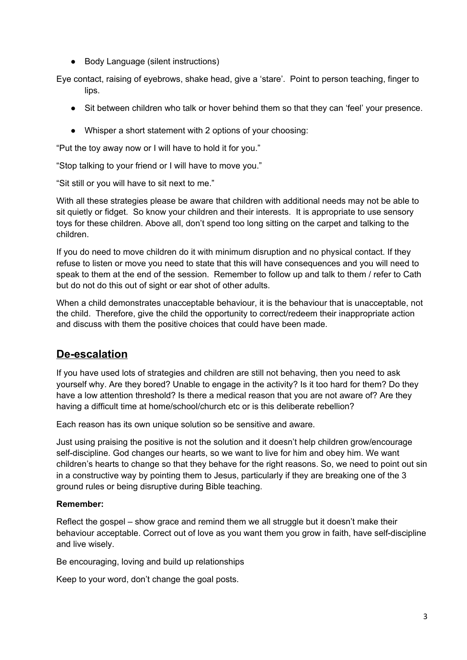● Body Language (silent instructions)

Eye contact, raising of eyebrows, shake head, give a 'stare'. Point to person teaching, finger to lips.

- Sit between children who talk or hover behind them so that they can 'feel' your presence.
- Whisper a short statement with 2 options of your choosing:

"Put the toy away now or I will have to hold it for you."

"Stop talking to your friend or I will have to move you."

"Sit still or you will have to sit next to me."

With all these strategies please be aware that children with additional needs may not be able to sit quietly or fidget. So know your children and their interests. It is appropriate to use sensory toys for these children. Above all, don't spend too long sitting on the carpet and talking to the children.

If you do need to move children do it with minimum disruption and no physical contact. If they refuse to listen or move you need to state that this will have consequences and you will need to speak to them at the end of the session. Remember to follow up and talk to them / refer to Cath but do not do this out of sight or ear shot of other adults.

When a child demonstrates unacceptable behaviour, it is the behaviour that is unacceptable, not the child. Therefore, give the child the opportunity to correct/redeem their inappropriate action and discuss with them the positive choices that could have been made.

# **De-escalation**

If you have used lots of strategies and children are still not behaving, then you need to ask yourself why. Are they bored? Unable to engage in the activity? Is it too hard for them? Do they have a low attention threshold? Is there a medical reason that you are not aware of? Are they having a difficult time at home/school/church etc or is this deliberate rebellion?

Each reason has its own unique solution so be sensitive and aware.

Just using praising the positive is not the solution and it doesn't help children grow/encourage self-discipline. God changes our hearts, so we want to live for him and obey him. We want children's hearts to change so that they behave for the right reasons. So, we need to point out sin in a constructive way by pointing them to Jesus, particularly if they are breaking one of the 3 ground rules or being disruptive during Bible teaching.

#### **Remember:**

Reflect the gospel – show grace and remind them we all struggle but it doesn't make their behaviour acceptable. Correct out of love as you want them you grow in faith, have self-discipline and live wisely.

Be encouraging, loving and build up relationships

Keep to your word, don't change the goal posts.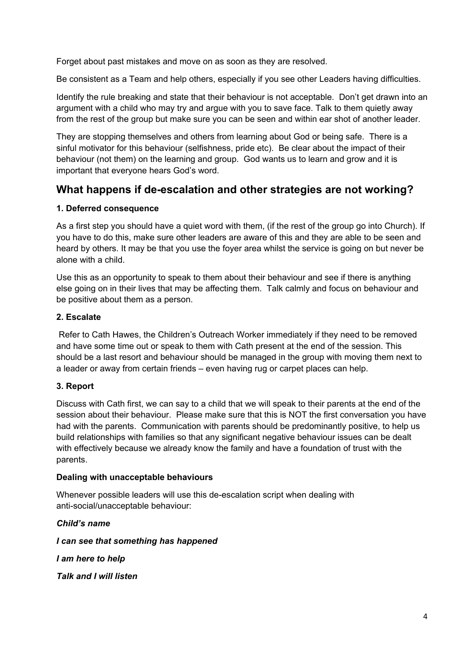Forget about past mistakes and move on as soon as they are resolved.

Be consistent as a Team and help others, especially if you see other Leaders having difficulties.

Identify the rule breaking and state that their behaviour is not acceptable. Don't get drawn into an argument with a child who may try and argue with you to save face. Talk to them quietly away from the rest of the group but make sure you can be seen and within ear shot of another leader.

They are stopping themselves and others from learning about God or being safe. There is a sinful motivator for this behaviour (selfishness, pride etc). Be clear about the impact of their behaviour (not them) on the learning and group. God wants us to learn and grow and it is important that everyone hears God's word.

# **What happens if de-escalation and other strategies are not working?**

# **1. Deferred consequence**

As a first step you should have a quiet word with them, (if the rest of the group go into Church). If you have to do this, make sure other leaders are aware of this and they are able to be seen and heard by others. It may be that you use the foyer area whilst the service is going on but never be alone with a child.

Use this as an opportunity to speak to them about their behaviour and see if there is anything else going on in their lives that may be affecting them. Talk calmly and focus on behaviour and be positive about them as a person.

#### **2. Escalate**

Refer to Cath Hawes, the Children's Outreach Worker immediately if they need to be removed and have some time out or speak to them with Cath present at the end of the session. This should be a last resort and behaviour should be managed in the group with moving them next to a leader or away from certain friends – even having rug or carpet places can help.

# **3. Report**

Discuss with Cath first, we can say to a child that we will speak to their parents at the end of the session about their behaviour. Please make sure that this is NOT the first conversation you have had with the parents. Communication with parents should be predominantly positive, to help us build relationships with families so that any significant negative behaviour issues can be dealt with effectively because we already know the family and have a foundation of trust with the parents.

#### **Dealing with unacceptable behaviours**

Whenever possible leaders will use this de-escalation script when dealing with anti-social/unacceptable behaviour:

# *Child's name*

*I can see that something has happened*

*I am here to help*

*Talk and I will listen*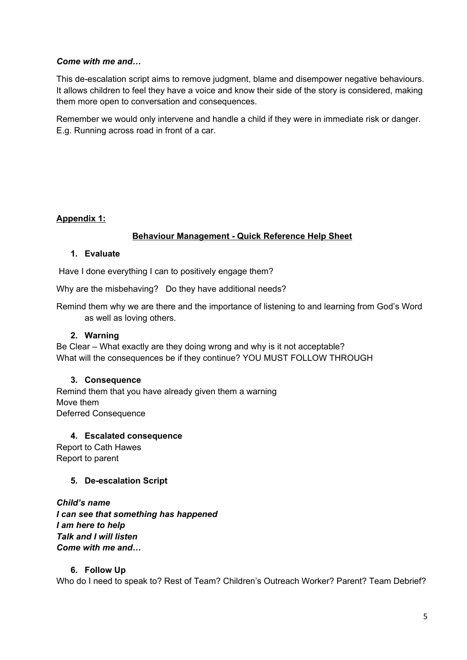# *Come with me and…*

This de-escalation script aims to remove judgment, blame and disempower negative behaviours. It allows children to feel they have a voice and know their side of the story is considered, making them more open to conversation and consequences.

Remember we would only intervene and handle a child if they were in immediate risk or danger. E.g. Running across road in front of a car.

# **Appendix 1:**

# **Behaviour Management - Quick Reference Help Sheet**

#### **1. Evaluate**

Have I done everything I can to positively engage them?

Why are the misbehaving? Do they have additional needs?

Remind them why we are there and the importance of listening to and learning from God's Word as well as loving others.

### **2. Warning**

Be Clear – What exactly are they doing wrong and why is it not acceptable? What will the consequences be if they continue? YOU MUST FOLLOW THROUGH

#### **3. Consequence**

Remind them that you have already given them a warning Move them Deferred Consequence

#### **4. Escalated consequence**

Report to Cath Hawes Report to parent

# **5. De-escalation Script**

*Child's name I can see that something has happened I am here to help Talk and I will listen Come with me and…*

#### **6. Follow Up**

Who do I need to speak to? Rest of Team? Children's Outreach Worker? Parent? Team Debrief?